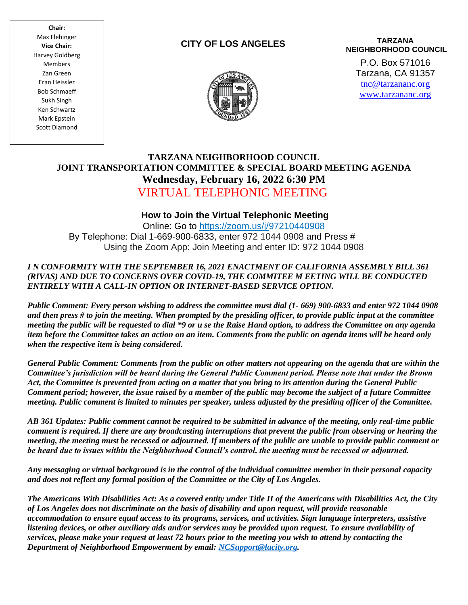**Chair:** Max Flehinger **Vice Chair:** Harvey Goldberg Members Zan Green Eran Heissler Bob Schmaeff Sukh Singh Ken Schwartz Mark Epstein Scott Diamond

## **CITY OF LOS ANGELES**

#### **TARZANA NEIGHBORHOOD COUNCIL**

P.O. Box 571016 Tarzana, CA 91357 [tnc@tarzananc.org](mailto:tnc@tarzananc.org) [www.tarzananc.org](http://www.tarzananc.org/)



# **TARZANA NEIGHBORHOOD COUNCIL JOINT TRANSPORTATION COMMITTEE & SPECIAL BOARD MEETING AGENDA Wednesday, February 16, 2022 6:30 PM** VIRTUAL TELEPHONIC MEETING

## **How to Join the Virtual Telephonic Meeting**

Online: Go to [https://zoom.us/j/9](https://zoom.us/j/)7210440908 By Telephone: Dial 1-669-900-6833, enter 972 1044 0908 and Press # Using the Zoom App: Join Meeting and enter ID: 972 1044 0908

#### *I N CONFORMITY WITH THE SEPTEMBER 16, 2021 ENACTMENT OF CALIFORNIA ASSEMBLY BILL 361 (RIVAS) AND DUE TO CONCERNS OVER COVID-19, THE COMMITEE M EETING WILL BE CONDUCTED ENTIRELY WITH A CALL-IN OPTION OR INTERNET-BASED SERVICE OPTION.*

*Public Comment: Every person wishing to address the committee must dial (1- 669) 900-6833 and enter 972 1044 0908 and then press # to join the meeting. When prompted by the presiding officer, to provide public input at the committee meeting the public will be requested to dial \*9 or u se the Raise Hand option, to address the Committee on any agenda item before the Committee takes an action on an item. Comments from the public on agenda items will be heard only when the respective item is being considered.*

*General Public Comment: Comments from the public on other matters not appearing on the agenda that are within the Committee's jurisdiction will be heard during the General Public Comment period. Please note that under the Brown Act, the Committee is prevented from acting on a matter that you bring to its attention during the General Public Comment period; however, the issue raised by a member of the public may become the subject of a future Committee meeting. Public comment is limited to minutes per speaker, unless adjusted by the presiding officer of the Committee.*

*AB 361 Updates: Public comment cannot be required to be submitted in advance of the meeting, only real-time public comment is required. If there are any broadcasting interruptions that prevent the public from observing or hearing the meeting, the meeting must be recessed or adjourned. If members of the public are unable to provide public comment or be heard due to issues within the Neighborhood Council's control, the meeting must be recessed or adjourned.*

*Any messaging or virtual background is in the control of the individual committee member in their personal capacity and does not reflect any formal position of the Committee or the City of Los Angeles.*

*The Americans With Disabilities Act: As a covered entity under Title II of the Americans with Disabilities Act, the City of Los Angeles does not discriminate on the basis of disability and upon request, will provide reasonable accommodation to ensure equal access to its programs, services, and activities. Sign language interpreters, assistive listening devices, or other auxiliary aids and/or services may be provided upon request. To ensure availability of services, please make your request at least 72 hours prior to the meeting you wish to attend by contacting the Department of Neighborhood Empowerment by email: [NCSupport@lacity.org.](mailto:NCSupport@lacity.org)*